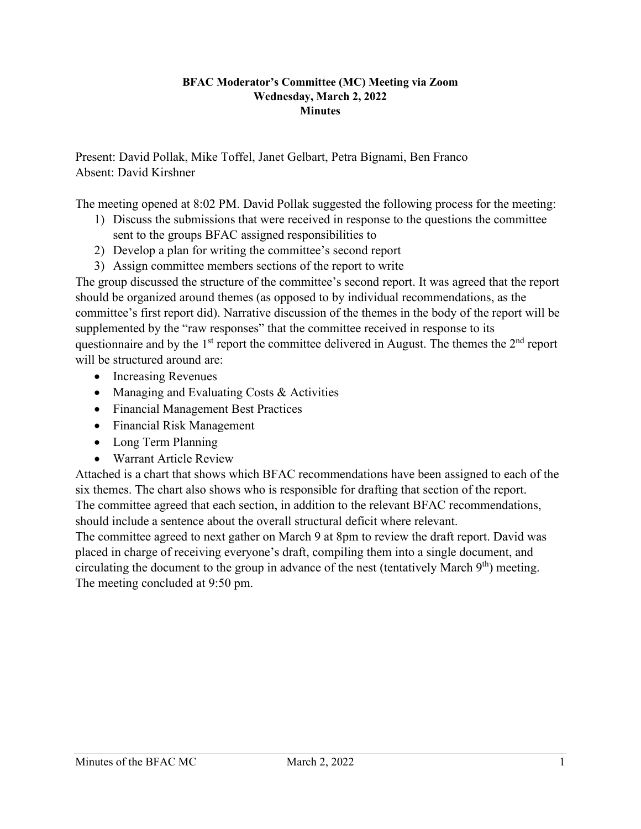## **BFAC Moderator's Committee (MC) Meeting via Zoom Wednesday, March 2, 2022 Minutes**

Present: David Pollak, Mike Toffel, Janet Gelbart, Petra Bignami, Ben Franco Absent: David Kirshner

The meeting opened at 8:02 PM. David Pollak suggested the following process for the meeting:

- 1) Discuss the submissions that were received in response to the questions the committee sent to the groups BFAC assigned responsibilities to
- 2) Develop a plan for writing the committee's second report
- 3) Assign committee members sections of the report to write

The group discussed the structure of the committee's second report. It was agreed that the report should be organized around themes (as opposed to by individual recommendations, as the committee's first report did). Narrative discussion of the themes in the body of the report will be supplemented by the "raw responses" that the committee received in response to its questionnaire and by the  $1<sup>st</sup>$  report the committee delivered in August. The themes the  $2<sup>nd</sup>$  report will be structured around are:

- Increasing Revenues
- Managing and Evaluating Costs & Activities
- Financial Management Best Practices
- Financial Risk Management
- Long Term Planning
- Warrant Article Review

Attached is a chart that shows which BFAC recommendations have been assigned to each of the six themes. The chart also shows who is responsible for drafting that section of the report. The committee agreed that each section, in addition to the relevant BFAC recommendations, should include a sentence about the overall structural deficit where relevant.

The committee agreed to next gather on March 9 at 8pm to review the draft report. David was placed in charge of receiving everyone's draft, compiling them into a single document, and circulating the document to the group in advance of the nest (tentatively March  $9<sup>th</sup>$ ) meeting. The meeting concluded at 9:50 pm.